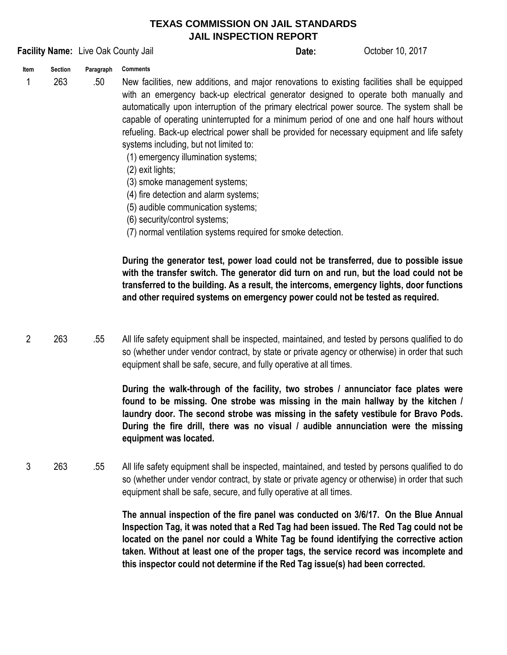## **TEXAS COMMISSION ON JAIL STANDARDS JAIL INSPECTION REPORT**

## **Facility Name:** Live Oak County Jail **County Active County 10, 2017 Date:** October 10, 2017

**Date:**

**Item Section Paragraph Comments**

1 263 .50

New facilities, new additions, and major renovations to existing facilities shall be equipped with an emergency back-up electrical generator designed to operate both manually and automatically upon interruption of the primary electrical power source. The system shall be capable of operating uninterrupted for a minimum period of one and one half hours without refueling. Back-up electrical power shall be provided for necessary equipment and life safety systems including, but not limited to:

(1) emergency illumination systems;

- (2) exit lights;
- (3) smoke management systems;
- (4) fire detection and alarm systems;
- (5) audible communication systems;
- (6) security/control systems;
- (7) normal ventilation systems required for smoke detection.

**During the generator test, power load could not be transferred, due to possible issue with the transfer switch. The generator did turn on and run, but the load could not be transferred to the building. As a result, the intercoms, emergency lights, door functions and other required systems on emergency power could not be tested as required.**

2 263 .55 All life safety equipment shall be inspected, maintained, and tested by persons qualified to do so (whether under vendor contract, by state or private agency or otherwise) in order that such equipment shall be safe, secure, and fully operative at all times.

> **During the walk-through of the facility, two strobes / annunciator face plates were found to be missing. One strobe was missing in the main hallway by the kitchen / laundry door. The second strobe was missing in the safety vestibule for Bravo Pods. During the fire drill, there was no visual / audible annunciation were the missing equipment was located.**

3 263 .55 All life safety equipment shall be inspected, maintained, and tested by persons qualified to do so (whether under vendor contract, by state or private agency or otherwise) in order that such equipment shall be safe, secure, and fully operative at all times.

> **The annual inspection of the fire panel was conducted on 3/6/17. On the Blue Annual Inspection Tag, it was noted that a Red Tag had been issued. The Red Tag could not be located on the panel nor could a White Tag be found identifying the corrective action taken. Without at least one of the proper tags, the service record was incomplete and this inspector could not determine if the Red Tag issue(s) had been corrected.**